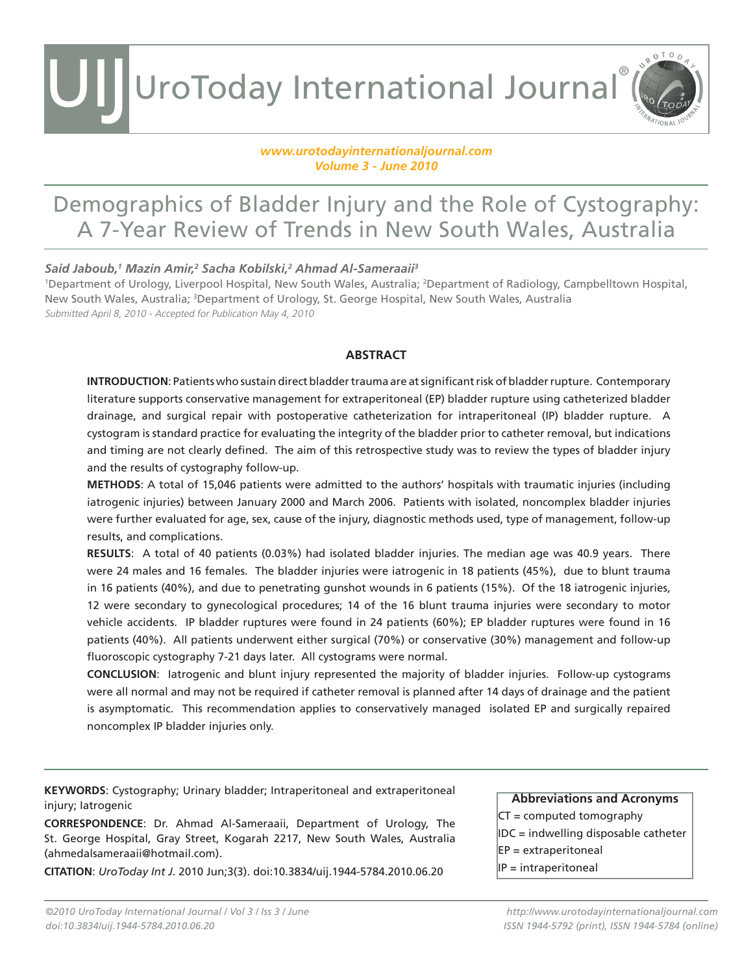UroToday International Journal® UIJ

#### *www.urotodayinternationaljournal.com Volume 3 - June 2010*

### Demographics of Bladder Injury and the Role of Cystography: A 7-Year Review of Trends in New South Wales, Australia

#### *Said Jaboub,1 Mazin Amir,2 Sacha Kobilski,2 Ahmad Al-Sameraaii3*

1 Department of Urology, Liverpool Hospital, New South Wales, Australia; 2 Department of Radiology, Campbelltown Hospital, New South Wales, Australia; 3 Department of Urology, St. George Hospital, New South Wales, Australia Submitted April 8, 2010 - Accepted for Publication May 4, 2010

#### **ABSTRACT**

**INTRODUCTION**: Patients who sustain direct bladder trauma are at significant risk of bladder rupture. Contemporary literature supports conservative management for extraperitoneal (EP) bladder rupture using catheterized bladder drainage, and surgical repair with postoperative catheterization for intraperitoneal (IP) bladder rupture. A cystogram is standard practice for evaluating the integrity of the bladder prior to catheter removal, but indications and timing are not clearly defined. The aim of this retrospective study was to review the types of bladder injury and the results of cystography follow-up.

**METHODS**: A total of 15,046 patients were admitted to the authors' hospitals with traumatic injuries (including iatrogenic injuries) between January 2000 and March 2006. Patients with isolated, noncomplex bladder injuries were further evaluated for age, sex, cause of the injury, diagnostic methods used, type of management, follow-up results, and complications.

**RESULTS**: A total of 40 patients (0.03%) had isolated bladder injuries. The median age was 40.9 years. There were 24 males and 16 females. The bladder injuries were iatrogenic in 18 patients (45%), due to blunt trauma in 16 patients (40%), and due to penetrating gunshot wounds in 6 patients (15%). Of the 18 iatrogenic injuries, 12 were secondary to gynecological procedures; 14 of the 16 blunt trauma injuries were secondary to motor vehicle accidents. IP bladder ruptures were found in 24 patients (60%); EP bladder ruptures were found in 16 patients (40%). All patients underwent either surgical (70%) or conservative (30%) management and follow-up fluoroscopic cystography 7-21 days later. All cystograms were normal.

**CONCLUSION**: Iatrogenic and blunt injury represented the majority of bladder injuries. Follow-up cystograms were all normal and may not be required if catheter removal is planned after 14 days of drainage and the patient is asymptomatic. This recommendation applies to conservatively managed isolated EP and surgically repaired noncomplex IP bladder injuries only.

**KEYWORDS**: Cystography; Urinary bladder; Intraperitoneal and extraperitoneal injury; Iatrogenic

**CORRESPONDENCE**: Dr. Ahmad Al-Sameraaii, Department of Urology, The St. George Hospital, Gray Street, Kogarah 2217, New South Wales, Australia (ahmedalsameraaii@hotmail.com).

**CITATION**: *UroToday Int J*. 2010 Jun;3(3). doi:10.3834/uij.1944-5784.2010.06.20

**Abbreviations and Acronyms** CT = computed tomography IDC = indwelling disposable catheter EP = extraperitoneal IP = intraperitoneal

ROTOD

*http://www.urotodayinternationaljournal.com ISSN 1944-5792 (print), ISSN 1944-5784 (online)*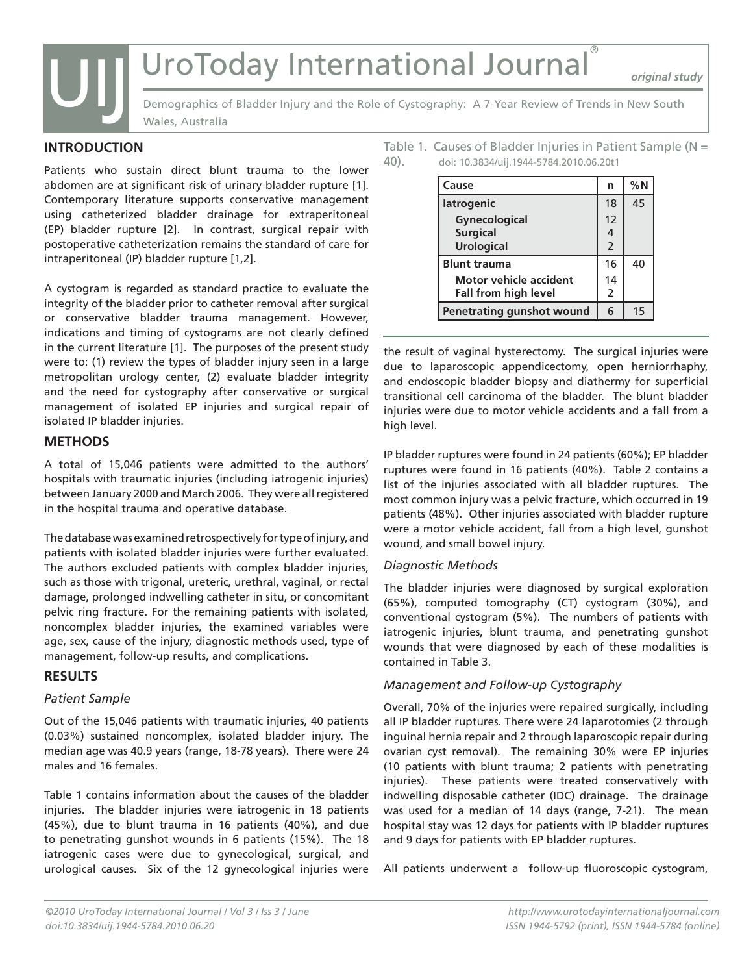## UroToday International Journal®

*original study*



Demographics of Bladder Injury and the Role of Cystography: A 7-Year Review of Trends in New South Wales, Australia

#### **INTRODUCTION**

Patients who sustain direct blunt trauma to the lower abdomen are at significant risk of urinary bladder rupture [1]. Contemporary literature supports conservative management using catheterized bladder drainage for extraperitoneal (EP) bladder rupture [2]. In contrast, surgical repair with postoperative catheterization remains the standard of care for intraperitoneal (IP) bladder rupture [1,2].

A cystogram is regarded as standard practice to evaluate the integrity of the bladder prior to catheter removal after surgical or conservative bladder trauma management. However, indications and timing of cystograms are not clearly defined in the current literature [1]. The purposes of the present study were to: (1) review the types of bladder injury seen in a large metropolitan urology center, (2) evaluate bladder integrity and the need for cystography after conservative or surgical management of isolated EP injuries and surgical repair of isolated IP bladder injuries.

#### **METHODS**

A total of 15,046 patients were admitted to the authors' hospitals with traumatic injuries (including iatrogenic injuries) between January 2000 and March 2006. They were all registered in the hospital trauma and operative database.

The database was examined retrospectively for type of injury, and patients with isolated bladder injuries were further evaluated. The authors excluded patients with complex bladder injuries, such as those with trigonal, ureteric, urethral, vaginal, or rectal damage, prolonged indwelling catheter in situ, or concomitant pelvic ring fracture. For the remaining patients with isolated, noncomplex bladder injuries, the examined variables were age, sex, cause of the injury, diagnostic methods used, type of management, follow-up results, and complications.

#### **RESULTS**

#### *Patient Sample*

Out of the 15,046 patients with traumatic injuries, 40 patients (0.03%) sustained noncomplex, isolated bladder injury. The median age was 40.9 years (range, 18-78 years). There were 24 males and 16 females.

Table 1 contains information about the causes of the bladder injuries. The bladder injuries were iatrogenic in 18 patients (45%), due to blunt trauma in 16 patients (40%), and due to penetrating gunshot wounds in 6 patients (15%). The 18 iatrogenic cases were due to gynecological, surgical, and urological causes. Six of the 12 gynecological injuries were Table 1. Causes of Bladder Injuries in Patient Sample ( $N =$ 40). doi: 10.3834/uij.1944-5784.2010.06.20t1

| Cause                            | n              | %N |
|----------------------------------|----------------|----|
| latrogenic                       | 18             | 45 |
| Gynecological<br><b>Surgical</b> | 12<br>4        |    |
| <b>Urological</b>                | $\overline{2}$ |    |
| <b>Blunt trauma</b>              | 16             | 40 |
| Motor vehicle accident           | 14             |    |
| <b>Fall from high level</b>      | 2              |    |
| Penetrating gunshot wound        | 6              | 15 |

the result of vaginal hysterectomy. The surgical injuries were due to laparoscopic appendicectomy, open herniorrhaphy, and endoscopic bladder biopsy and diathermy for superficial transitional cell carcinoma of the bladder. The blunt bladder injuries were due to motor vehicle accidents and a fall from a high level.

IP bladder ruptures were found in 24 patients (60%); EP bladder ruptures were found in 16 patients (40%). Table 2 contains a list of the injuries associated with all bladder ruptures. The most common injury was a pelvic fracture, which occurred in 19 patients (48%). Other injuries associated with bladder rupture were a motor vehicle accident, fall from a high level, gunshot wound, and small bowel injury.

#### *Diagnostic Methods*

The bladder injuries were diagnosed by surgical exploration (65%), computed tomography (CT) cystogram (30%), and conventional cystogram (5%). The numbers of patients with iatrogenic injuries, blunt trauma, and penetrating gunshot wounds that were diagnosed by each of these modalities is contained in Table 3.

#### *Management and Follow-up Cystography*

Overall, 70% of the injuries were repaired surgically, including all IP bladder ruptures. There were 24 laparotomies (2 through inguinal hernia repair and 2 through laparoscopic repair during ovarian cyst removal). The remaining 30% were EP injuries (10 patients with blunt trauma; 2 patients with penetrating injuries). These patients were treated conservatively with indwelling disposable catheter (IDC) drainage. The drainage was used for a median of 14 days (range, 7-21). The mean hospital stay was 12 days for patients with IP bladder ruptures and 9 days for patients with EP bladder ruptures.

All patients underwent a follow-up fluoroscopic cystogram,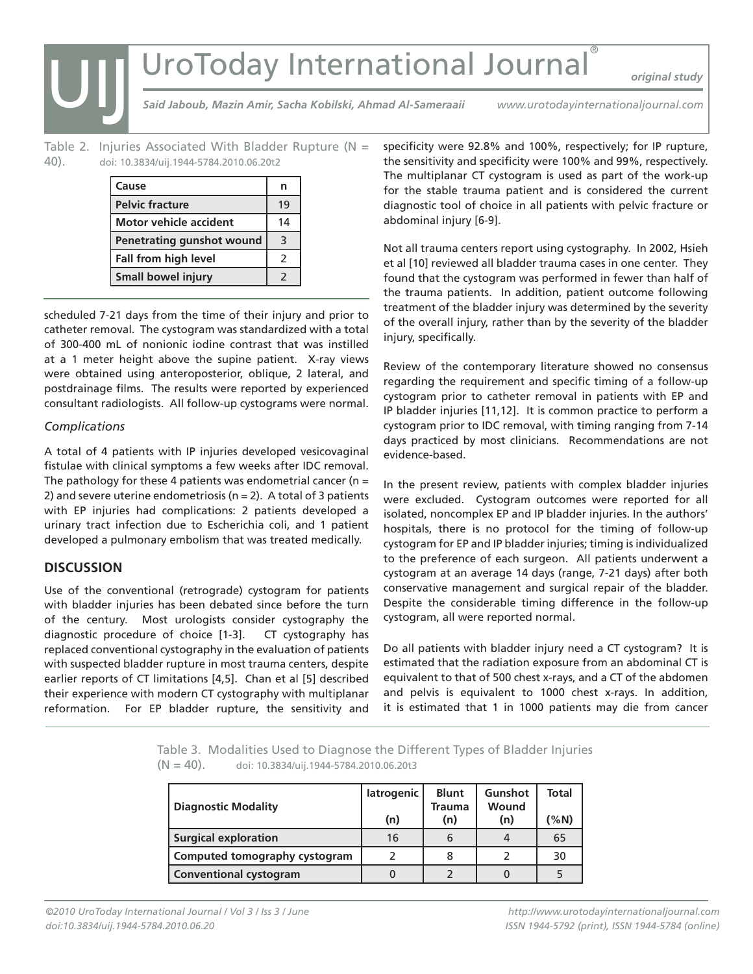## UroToday International Journal®

*original study*

*Said Jaboub, Mazin Amir, Sacha Kobilski, Ahmad Al-Sameraaii*

*www.urotodayinternationaljournal.com*

Table 2. Injuries Associated With Bladder Rupture ( $N =$ 40). doi: 10.3834/uij.1944-5784.2010.06.20t2

| Cause                            | n  |
|----------------------------------|----|
| <b>Pelvic fracture</b>           | 19 |
| <b>Motor vehicle accident</b>    | 14 |
| <b>Penetrating gunshot wound</b> | 3  |
| Fall from high level             | 2  |
| Small bowel injury               | 2  |

scheduled 7-21 days from the time of their injury and prior to catheter removal. The cystogram was standardized with a total of 300-400 mL of nonionic iodine contrast that was instilled at a 1 meter height above the supine patient. X-ray views were obtained using anteroposterior, oblique, 2 lateral, and postdrainage films. The results were reported by experienced consultant radiologists. All follow-up cystograms were normal.

#### *Complications*

UIJ

A total of 4 patients with IP injuries developed vesicovaginal fistulae with clinical symptoms a few weeks after IDC removal. The pathology for these 4 patients was endometrial cancer ( $n =$ 2) and severe uterine endometriosis ( $n = 2$ ). A total of 3 patients with EP injuries had complications: 2 patients developed a urinary tract infection due to Escherichia coli, and 1 patient developed a pulmonary embolism that was treated medically.

#### **DISCUSSION**

Use of the conventional (retrograde) cystogram for patients with bladder injuries has been debated since before the turn of the century. Most urologists consider cystography the diagnostic procedure of choice [1-3]. CT cystography has replaced conventional cystography in the evaluation of patients with suspected bladder rupture in most trauma centers, despite earlier reports of CT limitations [4,5]. Chan et al [5] described their experience with modern CT cystography with multiplanar reformation. For EP bladder rupture, the sensitivity and

specificity were 92.8% and 100%, respectively; for IP rupture, the sensitivity and specificity were 100% and 99%, respectively. The multiplanar CT cystogram is used as part of the work-up for the stable trauma patient and is considered the current diagnostic tool of choice in all patients with pelvic fracture or abdominal injury [6-9].

Not all trauma centers report using cystography. In 2002, Hsieh et al [10] reviewed all bladder trauma cases in one center. They found that the cystogram was performed in fewer than half of the trauma patients. In addition, patient outcome following treatment of the bladder injury was determined by the severity of the overall injury, rather than by the severity of the bladder injury, specifically.

Review of the contemporary literature showed no consensus regarding the requirement and specific timing of a follow-up cystogram prior to catheter removal in patients with EP and IP bladder injuries [11,12]. It is common practice to perform a cystogram prior to IDC removal, with timing ranging from 7-14 days practiced by most clinicians. Recommendations are not evidence-based.

In the present review, patients with complex bladder injuries were excluded. Cystogram outcomes were reported for all isolated, noncomplex EP and IP bladder injuries. In the authors' hospitals, there is no protocol for the timing of follow-up cystogram for EP and IP bladder injuries; timing is individualized to the preference of each surgeon. All patients underwent a cystogram at an average 14 days (range, 7-21 days) after both conservative management and surgical repair of the bladder. Despite the considerable timing difference in the follow-up cystogram, all were reported normal.

Do all patients with bladder injury need a CT cystogram? It is estimated that the radiation exposure from an abdominal CT is equivalent to that of 500 chest x-rays, and a CT of the abdomen and pelvis is equivalent to 1000 chest x-rays. In addition, it is estimated that 1 in 1000 patients may die from cancer

Table 3. Modalities Used to Diagnose the Different Types of Bladder Injuries  $(N = 40)$ . doi: 10.3834/uij.1944-5784.2010.06.20t3

| <b>Diagnostic Modality</b>    | latrogenic | <b>Blunt</b><br><b>Trauma</b> | Gunshot<br>Wound | <b>Total</b> |
|-------------------------------|------------|-------------------------------|------------------|--------------|
|                               | (n)        | (n)                           | (n)              | (%N)         |
| <b>Surgical exploration</b>   | 16         | 6                             | 4                | 65           |
| Computed tomography cystogram |            |                               |                  | 30           |
| Conventional cystogram        |            |                               |                  |              |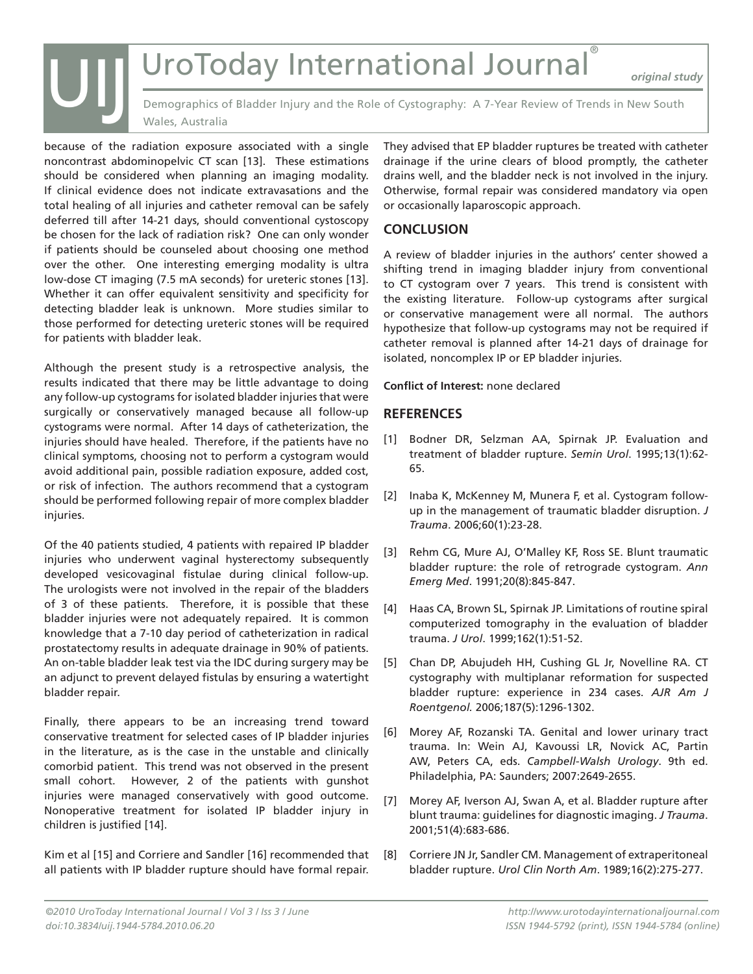# UroToday International Journal® UIJ

*original study*

Demographics of Bladder Injury and the Role of Cystography: A 7-Year Review of Trends in New South Wales, Australia

because of the radiation exposure associated with a single noncontrast abdominopelvic CT scan [13]. These estimations should be considered when planning an imaging modality. If clinical evidence does not indicate extravasations and the total healing of all injuries and catheter removal can be safely deferred till after 14-21 days, should conventional cystoscopy be chosen for the lack of radiation risk? One can only wonder if patients should be counseled about choosing one method over the other. One interesting emerging modality is ultra low-dose CT imaging (7.5 mA seconds) for ureteric stones [13]. Whether it can offer equivalent sensitivity and specificity for detecting bladder leak is unknown. More studies similar to those performed for detecting ureteric stones will be required for patients with bladder leak.

Although the present study is a retrospective analysis, the results indicated that there may be little advantage to doing any follow-up cystograms for isolated bladder injuries that were surgically or conservatively managed because all follow-up cystograms were normal. After 14 days of catheterization, the injuries should have healed. Therefore, if the patients have no clinical symptoms, choosing not to perform a cystogram would avoid additional pain, possible radiation exposure, added cost, or risk of infection. The authors recommend that a cystogram should be performed following repair of more complex bladder injuries.

Of the 40 patients studied, 4 patients with repaired IP bladder injuries who underwent vaginal hysterectomy subsequently developed vesicovaginal fistulae during clinical follow-up. The urologists were not involved in the repair of the bladders of 3 of these patients. Therefore, it is possible that these bladder injuries were not adequately repaired. It is common knowledge that a 7-10 day period of catheterization in radical prostatectomy results in adequate drainage in 90% of patients. An on-table bladder leak test via the IDC during surgery may be an adjunct to prevent delayed fistulas by ensuring a watertight bladder repair.

Finally, there appears to be an increasing trend toward conservative treatment for selected cases of IP bladder injuries in the literature, as is the case in the unstable and clinically comorbid patient. This trend was not observed in the present small cohort. However, 2 of the patients with gunshot injuries were managed conservatively with good outcome. Nonoperative treatment for isolated IP bladder injury in children is justified [14].

Kim et al [15] and Corriere and Sandler [16] recommended that all patients with IP bladder rupture should have formal repair.

They advised that EP bladder ruptures be treated with catheter drainage if the urine clears of blood promptly, the catheter drains well, and the bladder neck is not involved in the injury. Otherwise, formal repair was considered mandatory via open or occasionally laparoscopic approach.

#### **CONCLUSION**

A review of bladder injuries in the authors' center showed a shifting trend in imaging bladder injury from conventional to CT cystogram over 7 years. This trend is consistent with the existing literature. Follow-up cystograms after surgical or conservative management were all normal. The authors hypothesize that follow-up cystograms may not be required if catheter removal is planned after 14-21 days of drainage for isolated, noncomplex IP or EP bladder injuries.

**Conflict of Interest:** none declared

#### **REFERENCES**

- [1] Bodner DR, Selzman AA, Spirnak JP. Evaluation and treatment of bladder rupture. *Semin Urol*. 1995;13(1):62- 65.
- [2] Inaba K, McKenney M, Munera F, et al. Cystogram followup in the management of traumatic bladder disruption. *J Trauma*. 2006;60(1):23-28.
- [3] Rehm CG, Mure AJ, O'Malley KF, Ross SE. Blunt traumatic bladder rupture: the role of retrograde cystogram. *Ann Emerg Med*. 1991;20(8):845-847.
- [4] Haas CA, Brown SL, Spirnak JP. Limitations of routine spiral computerized tomography in the evaluation of bladder trauma. *J Urol*. 1999;162(1):51-52.
- [5] Chan DP, Abujudeh HH, Cushing GL Jr, Novelline RA. CT cystography with multiplanar reformation for suspected bladder rupture: experience in 234 cases. *AJR Am J Roentgenol.* 2006;187(5):1296-1302.
- [6] Morey AF, Rozanski TA. Genital and lower urinary tract trauma. In: Wein AJ, Kavoussi LR, Novick AC, Partin AW, Peters CA, eds. *Campbell-Walsh Urology*. 9th ed. Philadelphia, PA: Saunders; 2007:2649-2655.
- [7] Morey AF, Iverson AJ, Swan A, et al. Bladder rupture after blunt trauma: guidelines for diagnostic imaging. *J Trauma*. 2001;51(4):683-686.
- [8] Corriere JN Jr, Sandler CM. Management of extraperitoneal bladder rupture. *Urol Clin North Am*. 1989;16(2):275-277.